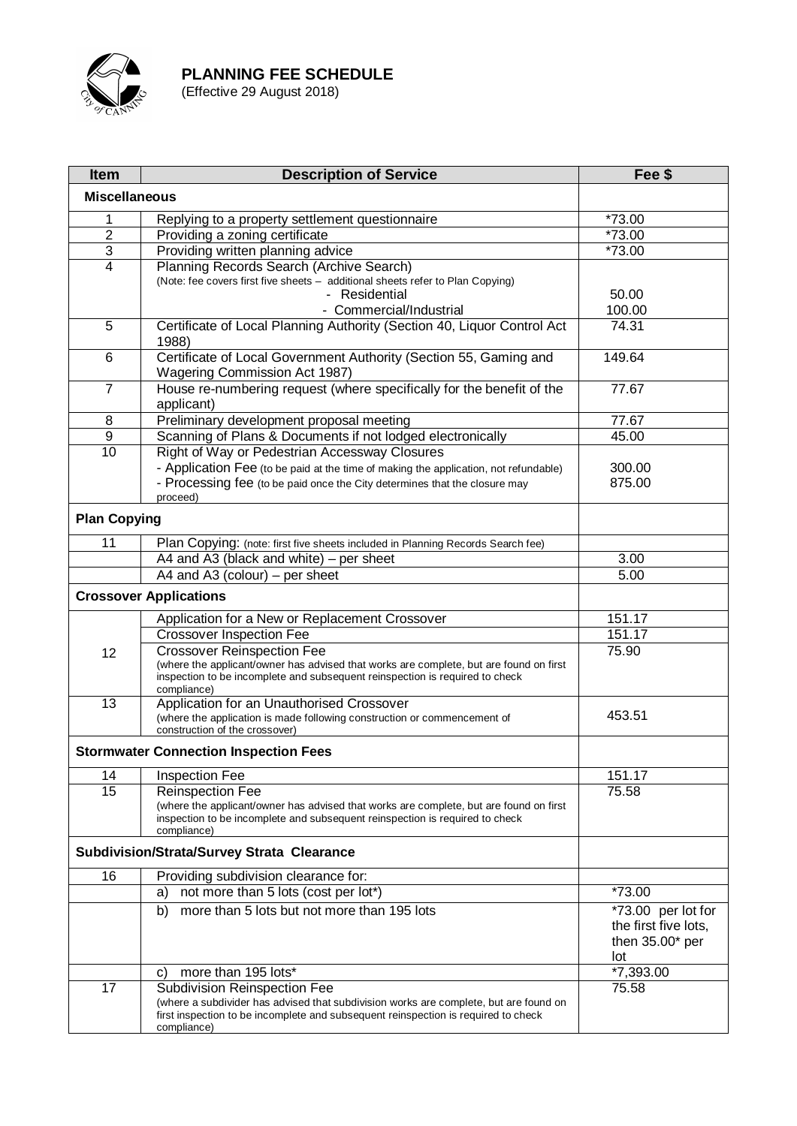

**Item Description of Service Example 3 Fee** \$ **Miscellaneous** 1 Replying to a property settlement questionnaire **1996** \*73.00 2 Providing a zoning certificate  $\frac{1}{2}$   $\frac{1}{2}$   $\frac{1}{2}$   $\frac{1}{2}$   $\frac{1}{2}$   $\frac{1}{2}$   $\frac{1}{2}$   $\frac{1}{2}$   $\frac{1}{2}$   $\frac{1}{2}$   $\frac{1}{2}$   $\frac{1}{2}$   $\frac{1}{2}$   $\frac{1}{2}$   $\frac{1}{2}$   $\frac{1}{2}$   $\frac{1}{2}$   $\frac{1}{2}$   $\frac{1}{2}$ 3 Providing written planning advice \*73.00 4 Planning Records Search (Archive Search) (Note: fee covers first five sheets – additional sheets refer to Plan Copying) - Residential - Commercial/Industrial 50.00 100.00 5 Certificate of Local Planning Authority (Section 40, Liquor Control Act 1988) 74.31 6 Certificate of Local Government Authority (Section 55, Gaming and Wagering Commission Act 1987) 149.64 7 House re-numbering request (where specifically for the benefit of the applicant) 77.67 8 Preliminary development proposal meeting<br>
9 Scanning of Plans & Documents if not lodged electronically 45.00 9 Scanning of Plans & Documents if not lodged electronically<br>10. Right of Way or Pedestrian Accessway Closures **Right of Way or Pedestrian Accessway Closures** - Application Fee (to be paid at the time of making the application, not refundable) 300.00 - Processing fee (to be paid once the City determines that the closure may proceed) 875.00 **Plan Copying** 11 | Plan Copying: (note: first five sheets included in Planning Records Search fee) A4 and A3 (black and white) – per sheet 3.00  $A4$  and  $A3$  (colour) – per sheet  $5.00$ **Crossover Applications** 12 Application for a New or Replacement Crossover 151.17 Crossover Inspection Fee 151.17 Crossover Reinspection Fee (where the applicant/owner has advised that works are complete, but are found on first inspection to be incomplete and subsequent reinspection is required to check compliance) 75.90 13 | Application for an Unauthorised Crossover (where the application is made following construction or commencement of construction of the crossover) 453.51 **Stormwater Connection Inspection Fees** 14 Inspection Fee 151.17 15 | Reinspection Fee (where the applicant/owner has advised that works are complete, but are found on first inspection to be incomplete and subsequent reinspection is required to check compliance) 75.58 **Subdivision/Strata/Survey Strata Clearance** 16 Providing subdivision clearance for: a) not more than 5 lots (cost per lot\*)  $*73.00$ b) more than 5 lots but not more than 195 lots  $\sim$  \*73.00 per lot for the first five lots, then 35.00\* per  $\frac{$ 10t<br>\*7.393.00 c) more than  $195$  lots\* 17 Subdivision Reinspection Fee (where a subdivider has advised that subdivision works are complete, but are found on first inspection to be incomplete and subsequent reinspection is required to check compliance) 75.58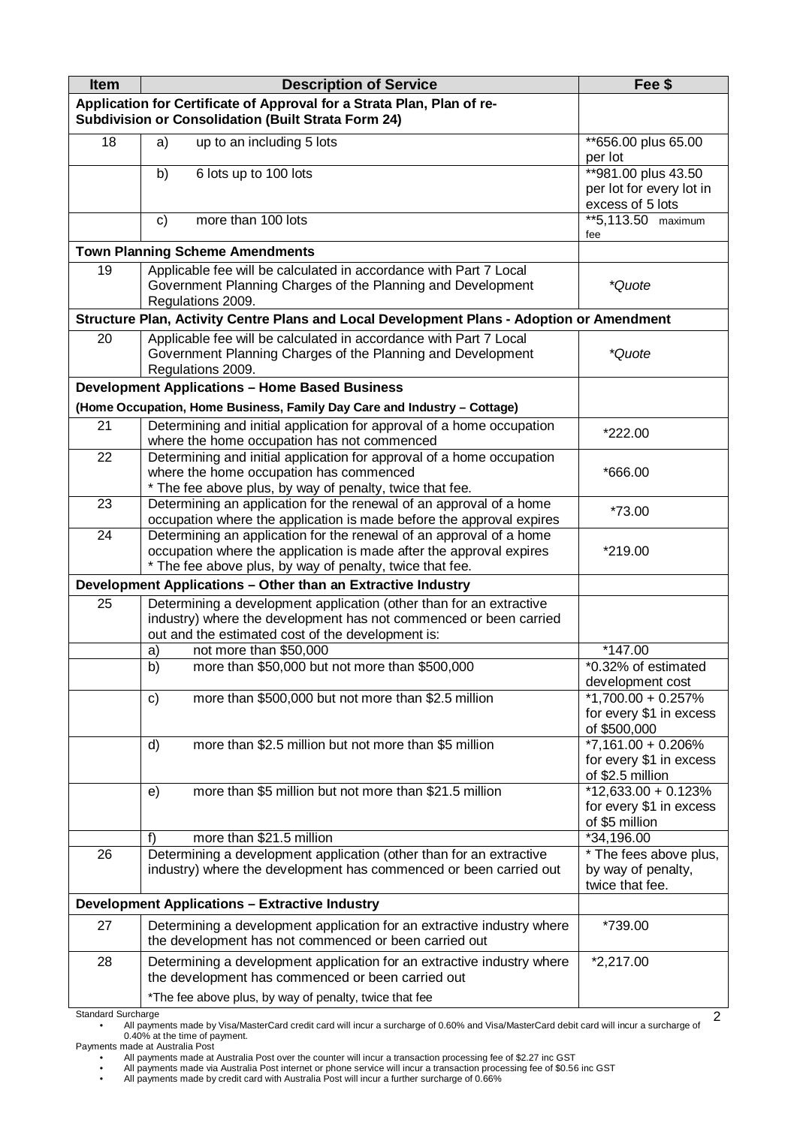| Item                                                                                                                                 | <b>Description of Service</b>                                                                                                                         | Fee \$                                    |  |
|--------------------------------------------------------------------------------------------------------------------------------------|-------------------------------------------------------------------------------------------------------------------------------------------------------|-------------------------------------------|--|
| Application for Certificate of Approval for a Strata Plan, Plan of re-<br><b>Subdivision or Consolidation (Built Strata Form 24)</b> |                                                                                                                                                       |                                           |  |
| 18                                                                                                                                   | up to an including 5 lots<br>a)                                                                                                                       | **656.00 plus 65.00<br>per lot            |  |
|                                                                                                                                      | b)<br>6 lots up to 100 lots                                                                                                                           | **981.00 plus 43.50                       |  |
|                                                                                                                                      |                                                                                                                                                       | per lot for every lot in                  |  |
|                                                                                                                                      |                                                                                                                                                       | excess of 5 lots                          |  |
|                                                                                                                                      | more than 100 lots<br>C)                                                                                                                              | **5,113.50 maximum<br>fee                 |  |
| <b>Town Planning Scheme Amendments</b>                                                                                               |                                                                                                                                                       |                                           |  |
| 19                                                                                                                                   | Applicable fee will be calculated in accordance with Part 7 Local                                                                                     |                                           |  |
|                                                                                                                                      | Government Planning Charges of the Planning and Development                                                                                           | *Quote                                    |  |
|                                                                                                                                      | Regulations 2009.                                                                                                                                     |                                           |  |
|                                                                                                                                      | Structure Plan, Activity Centre Plans and Local Development Plans - Adoption or Amendment                                                             |                                           |  |
| 20                                                                                                                                   | Applicable fee will be calculated in accordance with Part 7 Local<br>Government Planning Charges of the Planning and Development<br>Regulations 2009. | *Quote                                    |  |
|                                                                                                                                      | <b>Development Applications - Home Based Business</b>                                                                                                 |                                           |  |
|                                                                                                                                      | (Home Occupation, Home Business, Family Day Care and Industry - Cottage)                                                                              |                                           |  |
| 21                                                                                                                                   | Determining and initial application for approval of a home occupation                                                                                 |                                           |  |
|                                                                                                                                      | where the home occupation has not commenced                                                                                                           | *222.00                                   |  |
| 22                                                                                                                                   | Determining and initial application for approval of a home occupation<br>where the home occupation has commenced                                      | *666.00                                   |  |
|                                                                                                                                      | * The fee above plus, by way of penalty, twice that fee.                                                                                              |                                           |  |
| 23                                                                                                                                   | Determining an application for the renewal of an approval of a home                                                                                   |                                           |  |
|                                                                                                                                      | occupation where the application is made before the approval expires                                                                                  | *73.00                                    |  |
| 24                                                                                                                                   | Determining an application for the renewal of an approval of a home                                                                                   |                                           |  |
|                                                                                                                                      | occupation where the application is made after the approval expires                                                                                   | *219.00                                   |  |
|                                                                                                                                      | * The fee above plus, by way of penalty, twice that fee.                                                                                              |                                           |  |
|                                                                                                                                      | Development Applications - Other than an Extractive Industry                                                                                          |                                           |  |
| 25                                                                                                                                   | Determining a development application (other than for an extractive<br>industry) where the development has not commenced or been carried              |                                           |  |
|                                                                                                                                      | out and the estimated cost of the development is:                                                                                                     |                                           |  |
|                                                                                                                                      | not more than \$50,000<br>a)                                                                                                                          | *147.00                                   |  |
|                                                                                                                                      | more than \$50,000 but not more than \$500,000<br>b)                                                                                                  | *0.32% of estimated                       |  |
|                                                                                                                                      |                                                                                                                                                       | development cost                          |  |
|                                                                                                                                      | more than \$500,000 but not more than \$2.5 million<br>$\mathsf{c}$                                                                                   | *1,700.00 + 0.257%                        |  |
|                                                                                                                                      |                                                                                                                                                       | for every \$1 in excess<br>of \$500,000   |  |
|                                                                                                                                      | more than \$2.5 million but not more than \$5 million<br>d)                                                                                           | $*7,161.00 + 0.206\%$                     |  |
|                                                                                                                                      |                                                                                                                                                       | for every \$1 in excess                   |  |
|                                                                                                                                      |                                                                                                                                                       | of \$2.5 million                          |  |
|                                                                                                                                      | more than \$5 million but not more than \$21.5 million<br>e)                                                                                          | $*12,633.00 + 0.123%$                     |  |
|                                                                                                                                      |                                                                                                                                                       | for every \$1 in excess<br>of \$5 million |  |
|                                                                                                                                      | more than \$21.5 million<br>f)                                                                                                                        | *34,196.00                                |  |
| 26                                                                                                                                   | Determining a development application (other than for an extractive                                                                                   | * The fees above plus,                    |  |
|                                                                                                                                      | industry) where the development has commenced or been carried out                                                                                     | by way of penalty,                        |  |
|                                                                                                                                      | <b>Development Applications - Extractive Industry</b>                                                                                                 | twice that fee.                           |  |
|                                                                                                                                      |                                                                                                                                                       |                                           |  |
| 27                                                                                                                                   | Determining a development application for an extractive industry where<br>the development has not commenced or been carried out                       | *739.00                                   |  |
| 28                                                                                                                                   | Determining a development application for an extractive industry where                                                                                | $*2,217.00$                               |  |
|                                                                                                                                      | the development has commenced or been carried out                                                                                                     |                                           |  |
|                                                                                                                                      | *The fee above plus, by way of penalty, twice that fee                                                                                                |                                           |  |
| Standard Surcharge                                                                                                                   |                                                                                                                                                       | $\overline{2}$                            |  |

Standard Surcharge • All payments made by Visa/MasterCard credit card will incur a surcharge of 0.60% and Visa/MasterCard debit card will incur a surcharge of 0.40% at the time of payment. Payments made at Australia Post

All payments made at Australia Post over the counter will incur a transaction processing fee of \$2.27 inc GST •<br>All payments made via Australia Post internet or phone service will incur a transaction processing fee of \$0.5

<sup>•</sup> All payments made by credit card with Australia Post will incur a further surcharge of 0.66%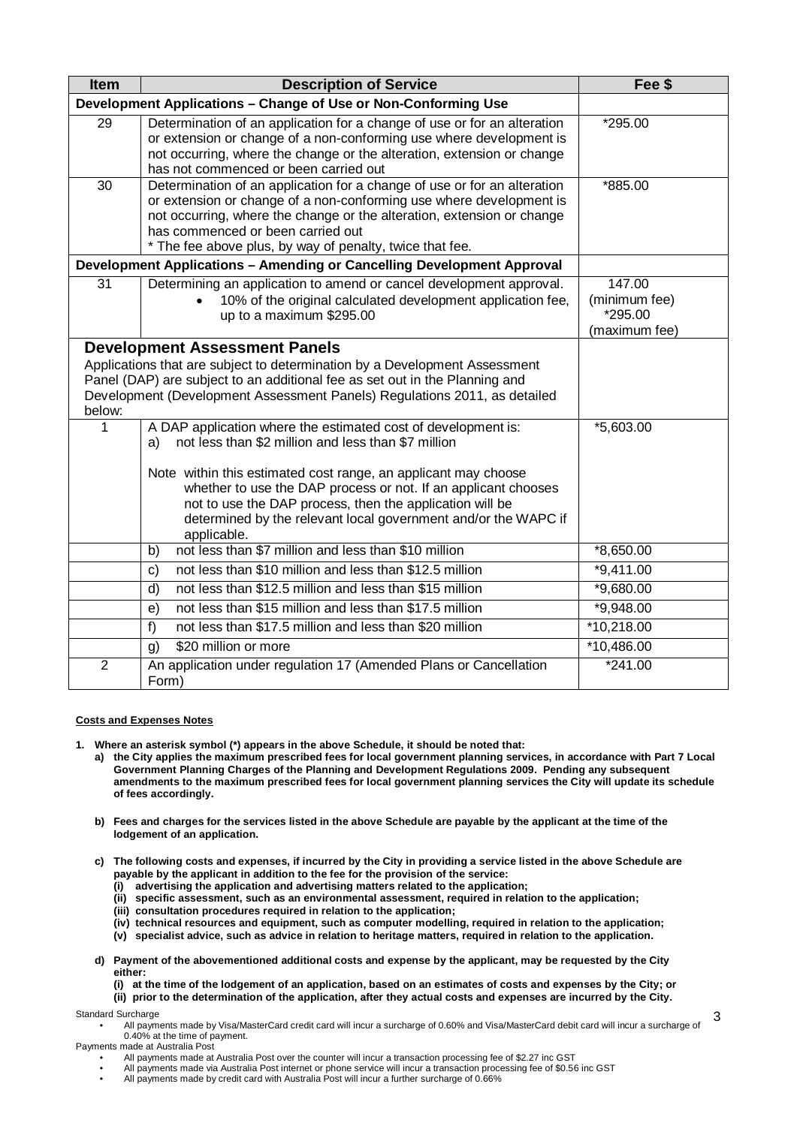| Item                                                                                                                                                                                                                                                                                     | <b>Description of Service</b>                                                                                                                                                                                                                                                                                                                                                                               | Fee \$                                              |
|------------------------------------------------------------------------------------------------------------------------------------------------------------------------------------------------------------------------------------------------------------------------------------------|-------------------------------------------------------------------------------------------------------------------------------------------------------------------------------------------------------------------------------------------------------------------------------------------------------------------------------------------------------------------------------------------------------------|-----------------------------------------------------|
| Development Applications - Change of Use or Non-Conforming Use                                                                                                                                                                                                                           |                                                                                                                                                                                                                                                                                                                                                                                                             |                                                     |
| 29                                                                                                                                                                                                                                                                                       | Determination of an application for a change of use or for an alteration<br>or extension or change of a non-conforming use where development is<br>not occurring, where the change or the alteration, extension or change<br>has not commenced or been carried out                                                                                                                                          | *295.00                                             |
| 30                                                                                                                                                                                                                                                                                       | Determination of an application for a change of use or for an alteration<br>or extension or change of a non-conforming use where development is<br>not occurring, where the change or the alteration, extension or change<br>has commenced or been carried out<br>* The fee above plus, by way of penalty, twice that fee.                                                                                  | *885.00                                             |
| Development Applications - Amending or Cancelling Development Approval                                                                                                                                                                                                                   |                                                                                                                                                                                                                                                                                                                                                                                                             |                                                     |
| 31                                                                                                                                                                                                                                                                                       | Determining an application to amend or cancel development approval.<br>10% of the original calculated development application fee,<br>up to a maximum \$295.00                                                                                                                                                                                                                                              | 147.00<br>(minimum fee)<br>*295.00<br>(maximum fee) |
| <b>Development Assessment Panels</b><br>Applications that are subject to determination by a Development Assessment<br>Panel (DAP) are subject to an additional fee as set out in the Planning and<br>Development (Development Assessment Panels) Regulations 2011, as detailed<br>below: |                                                                                                                                                                                                                                                                                                                                                                                                             |                                                     |
| 1                                                                                                                                                                                                                                                                                        | A DAP application where the estimated cost of development is:<br>not less than \$2 million and less than \$7 million<br>a)<br>Note within this estimated cost range, an applicant may choose<br>whether to use the DAP process or not. If an applicant chooses<br>not to use the DAP process, then the application will be<br>determined by the relevant local government and/or the WAPC if<br>applicable. | *5,603.00                                           |
|                                                                                                                                                                                                                                                                                          | not less than \$7 million and less than \$10 million<br>b)                                                                                                                                                                                                                                                                                                                                                  | $*8,650.00$                                         |
|                                                                                                                                                                                                                                                                                          | not less than \$10 million and less than \$12.5 million<br>c)                                                                                                                                                                                                                                                                                                                                               | $*9,411.00$                                         |
|                                                                                                                                                                                                                                                                                          | not less than \$12.5 million and less than \$15 million<br>d)                                                                                                                                                                                                                                                                                                                                               | *9,680.00                                           |
|                                                                                                                                                                                                                                                                                          | not less than \$15 million and less than \$17.5 million<br>e)                                                                                                                                                                                                                                                                                                                                               | $*9,948.00$                                         |
|                                                                                                                                                                                                                                                                                          | not less than \$17.5 million and less than \$20 million<br>f)                                                                                                                                                                                                                                                                                                                                               | $*10,218.00$                                        |
|                                                                                                                                                                                                                                                                                          | \$20 million or more<br>g)                                                                                                                                                                                                                                                                                                                                                                                  | *10,486.00                                          |
| $\overline{2}$                                                                                                                                                                                                                                                                           | An application under regulation 17 (Amended Plans or Cancellation<br>Form)                                                                                                                                                                                                                                                                                                                                  | $*241.00$                                           |

## **Costs and Expenses Notes**

- **1. Where an asterisk symbol (\*) appears in the above Schedule, it should be noted that:**
	- **a) the City applies the maximum prescribed fees for local government planning services, in accordance with Part 7 Local Government Planning Charges of the Planning and Development Regulations 2009. Pending any subsequent amendments to the maximum prescribed fees for local government planning services the City will update its schedule of fees accordingly.**
	- **b) Fees and charges for the services listed in the above Schedule are payable by the applicant at the time of the lodgement of an application.**
	- **c) The following costs and expenses, if incurred by the City in providing a service listed in the above Schedule are payable by the applicant in addition to the fee for the provision of the service:**
		- **(i) advertising the application and advertising matters related to the application;**
		- **(ii) specific assessment, such as an environmental assessment, required in relation to the application;**
		- **(iii) consultation procedures required in relation to the application;**
		- **(iv) technical resources and equipment, such as computer modelling, required in relation to the application;**
		- **(v) specialist advice, such as advice in relation to heritage matters, required in relation to the application.**
	- **d) Payment of the abovementioned additional costs and expense by the applicant, may be requested by the City either:**
		- **(i) at the time of the lodgement of an application, based on an estimates of costs and expenses by the City; or**
		- **(ii) prior to the determination of the application, after they actual costs and expenses are incurred by the City.**

Standard Surcharge

• All payments made by Visa/MasterCard credit card will incur a surcharge of 0.60% and Visa/MasterCard debit card will incur a surcharge of 0.40% at the time of payment. 3

Payments made at Australia Post

- All payments made at Australia Post over the counter will incur a transaction processing fee of \$2.27 inc GST
- All payments made via Australia Post internet or phone service will incur a transaction processing fee of \$0.56 inc GST
- All payments made by credit card with Australia Post will incur a further surcharge of 0.66%